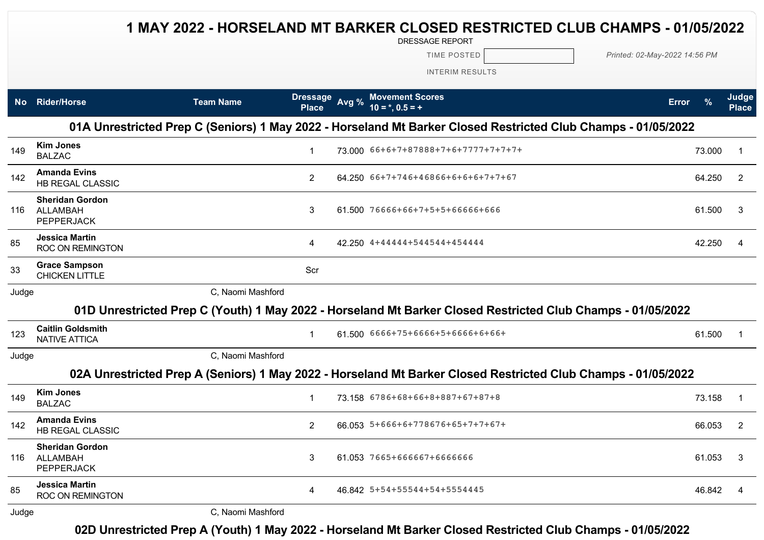## **1 MAY 2022 - HORSELAND MT BARKER CLOSED RESTRICTED CLUB CHAMPS - 01/05/2022**

DRESSAGE REPORT

TIME POSTED *Printed: 02-May-2022 14:56 PM*

INTERIM RESULTS

| <b>No</b> | <b>Rider/Horse</b>                                                                                            | <b>Team Name</b>  | <b>Dressage</b><br><b>Place</b> | Avg % | <b>Movement Scores</b><br>$10 = *, 0.5 = +$                                                                   | <b>Error</b> |        | Judge<br><b>Place</b> |  |  |  |  |
|-----------|---------------------------------------------------------------------------------------------------------------|-------------------|---------------------------------|-------|---------------------------------------------------------------------------------------------------------------|--------------|--------|-----------------------|--|--|--|--|
|           | 01A Unrestricted Prep C (Seniors) 1 May 2022 - Horseland Mt Barker Closed Restricted Club Champs - 01/05/2022 |                   |                                 |       |                                                                                                               |              |        |                       |  |  |  |  |
| 149       | <b>Kim Jones</b><br><b>BALZAC</b>                                                                             |                   | 1                               |       | 73.000 66+6+7+87888+7+6+7777+7+7+7+                                                                           |              | 73.000 | -1                    |  |  |  |  |
| 142       | <b>Amanda Evins</b><br><b>HB REGAL CLASSIC</b>                                                                |                   | $\overline{2}$                  |       | 64.250 66+7+746+46866+6+6+6+7+7+67                                                                            |              | 64.250 | 2                     |  |  |  |  |
| 116       | <b>Sheridan Gordon</b><br>ALLAMBAH<br><b>PEPPERJACK</b>                                                       |                   | 3                               |       | 61.500 76666+66+7+5+5+66666+666                                                                               |              | 61.500 | 3                     |  |  |  |  |
| 85        | <b>Jessica Martin</b><br><b>ROC ON REMINGTON</b>                                                              |                   | 4                               |       | 42.250 4+44444+544544+454444                                                                                  |              | 42.250 | 4                     |  |  |  |  |
| 33        | <b>Grace Sampson</b><br><b>CHICKEN LITTLE</b>                                                                 |                   | Scr                             |       |                                                                                                               |              |        |                       |  |  |  |  |
| Judge     |                                                                                                               | C, Naomi Mashford |                                 |       |                                                                                                               |              |        |                       |  |  |  |  |
|           |                                                                                                               |                   |                                 |       | 01D Unrestricted Prep C (Youth) 1 May 2022 - Horseland Mt Barker Closed Restricted Club Champs - 01/05/2022   |              |        |                       |  |  |  |  |
| 123       | <b>Caitlin Goldsmith</b><br><b>NATIVE ATTICA</b>                                                              |                   | $\mathbf{1}$                    |       | 61.500 6666+75+6666+5+6666+6+66+                                                                              |              | 61.500 |                       |  |  |  |  |
| Judge     |                                                                                                               | C, Naomi Mashford |                                 |       |                                                                                                               |              |        |                       |  |  |  |  |
|           |                                                                                                               |                   |                                 |       | 02A Unrestricted Prep A (Seniors) 1 May 2022 - Horseland Mt Barker Closed Restricted Club Champs - 01/05/2022 |              |        |                       |  |  |  |  |
| 149       | <b>Kim Jones</b><br><b>BALZAC</b>                                                                             |                   | $\mathbf{1}$                    |       | 73.158 6786+68+66+8+887+67+87+8                                                                               |              | 73.158 | -1                    |  |  |  |  |
| 142       | <b>Amanda Evins</b><br><b>HB REGAL CLASSIC</b>                                                                |                   | $\overline{2}$                  |       | 66.053 5+666+6+778676+65+7+7+67+                                                                              |              | 66.053 | $\overline{2}$        |  |  |  |  |
| 116       | <b>Sheridan Gordon</b><br>ALLAMBAH<br><b>PEPPERJACK</b>                                                       |                   | 3                               |       | 61.053 7665+666667+6666666                                                                                    |              | 61.053 | 3                     |  |  |  |  |
| 85        | <b>Jessica Martin</b><br><b>ROC ON REMINGTON</b>                                                              |                   | 4                               |       | 46.842 5+54+55544+54+5554445                                                                                  |              | 46.842 | 4                     |  |  |  |  |
| Judae     |                                                                                                               | C, Naomi Mashford |                                 |       |                                                                                                               |              |        |                       |  |  |  |  |

## **02D Unrestricted Prep A (Youth) 1 May 2022 - Horseland Mt Barker Closed Restricted Club Champs - 01/05/2022**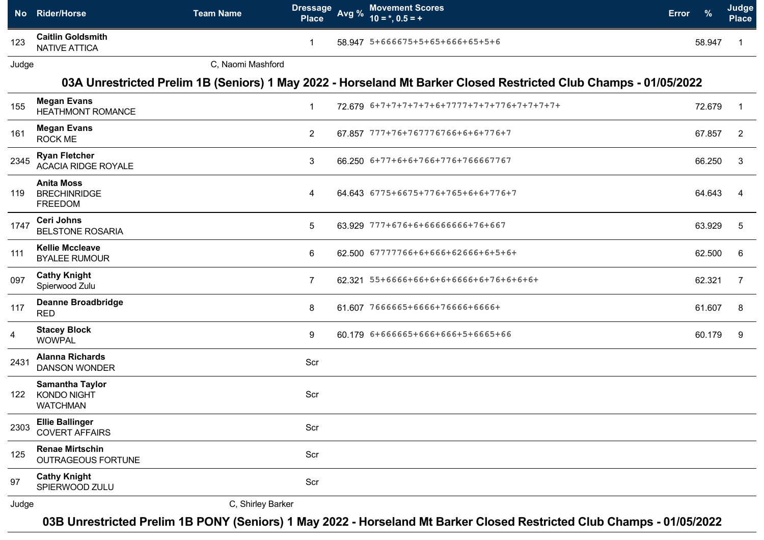|                | No Rider/Horse                                                  | <b>Dressage</b><br><b>Team Name</b><br><b>Place</b> | Avg % | <b>Movement Scores</b><br>$10 = *, 0.5 = +$                                                                      | Error | $\frac{9}{6}$ | Judge<br><b>Place</b> |
|----------------|-----------------------------------------------------------------|-----------------------------------------------------|-------|------------------------------------------------------------------------------------------------------------------|-------|---------------|-----------------------|
| 123            | <b>Caitlin Goldsmith</b><br><b>NATIVE ATTICA</b>                |                                                     |       | 58.947 5+666675+5+65+666+65+5+6                                                                                  |       | 58.947        |                       |
| Judge          |                                                                 | C, Naomi Mashford                                   |       |                                                                                                                  |       |               |                       |
|                |                                                                 |                                                     |       | 03A Unrestricted Prelim 1B (Seniors) 1 May 2022 - Horseland Mt Barker Closed Restricted Club Champs - 01/05/2022 |       |               |                       |
| 155            | <b>Megan Evans</b><br><b>HEATHMONT ROMANCE</b>                  | $\mathbf{1}$                                        |       | 72.679 6+7+7+7+7+7+6+7777+7+7+776+7+7+7+7+                                                                       |       | 72.679        |                       |
| 161            | <b>Megan Evans</b><br><b>ROCK ME</b>                            | $\overline{2}$                                      |       | 67.857 777+76+767776766+6+6+776+7                                                                                |       | 67.857        | $\overline{2}$        |
| 2345           | <b>Ryan Fletcher</b><br><b>ACACIA RIDGE ROYALE</b>              | 3                                                   |       | 66.250 6+77+6+6+766+776+766667767                                                                                |       | 66.250        | 3                     |
| 119            | <b>Anita Moss</b><br><b>BRECHINRIDGE</b><br><b>FREEDOM</b>      | 4                                                   |       | 64.643 6775+6675+776+765+6+6+776+7                                                                               |       | 64.643        |                       |
| 1747           | Ceri Johns<br><b>BELSTONE ROSARIA</b>                           | 5                                                   |       | 63.929 777+676+6+66666666+76+667                                                                                 |       | 63.929        | 5                     |
| 111            | <b>Kellie Mccleave</b><br><b>BYALEE RUMOUR</b>                  | 6                                                   |       | 62.500 67777766+6+666+62666+6+5+6+                                                                               |       | 62.500        | 6                     |
| 097            | <b>Cathy Knight</b><br>Spierwood Zulu                           | $\overline{7}$                                      |       | 62.321 55+6666+66+6+6+6666+6+76+6+6+6+                                                                           |       | 62.321        | 7                     |
| 117            | <b>Deanne Broadbridge</b><br><b>RED</b>                         | 8                                                   |       | 61.607 7666665+6666+76666+6666+                                                                                  |       | 61.607        | 8                     |
| $\overline{4}$ | <b>Stacey Block</b><br><b>WOWPAL</b>                            | 9                                                   |       | 60.179 6+666665+666+666+5+6665+66                                                                                |       | 60.179        | 9                     |
| 2431           | <b>Alanna Richards</b><br><b>DANSON WONDER</b>                  | Scr                                                 |       |                                                                                                                  |       |               |                       |
| 122            | <b>Samantha Taylor</b><br><b>KONDO NIGHT</b><br><b>WATCHMAN</b> | Scr                                                 |       |                                                                                                                  |       |               |                       |
| 2303           | <b>Ellie Ballinger</b><br><b>COVERT AFFAIRS</b>                 | Scr                                                 |       |                                                                                                                  |       |               |                       |
| 125            | <b>Renae Mirtschin</b><br><b>OUTRAGEOUS FORTUNE</b>             | Scr                                                 |       |                                                                                                                  |       |               |                       |
| 97             | <b>Cathy Knight</b><br>SPIERWOOD ZULU                           | Scr                                                 |       |                                                                                                                  |       |               |                       |
| Judge          |                                                                 | C, Shirley Barker                                   |       |                                                                                                                  |       |               |                       |

**03B Unrestricted Prelim 1B PONY (Seniors) 1 May 2022 - Horseland Mt Barker Closed Restricted Club Champs - 01/05/2022**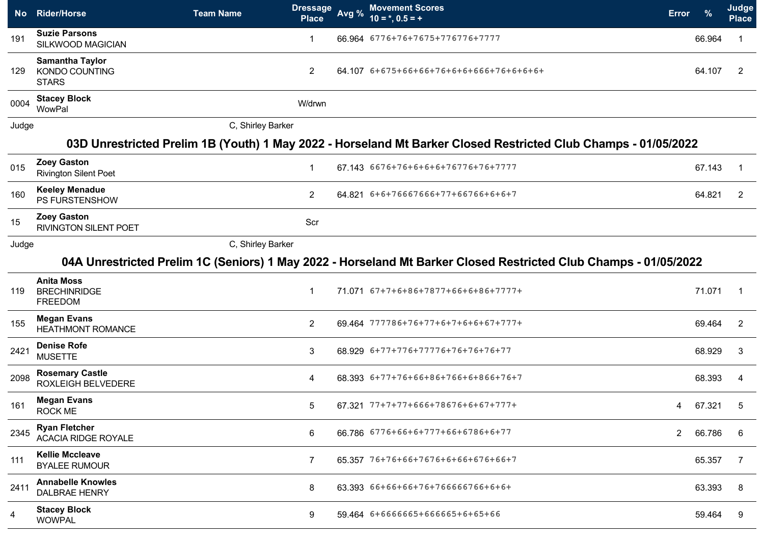|       | No Rider/Horse                                                                                                 | <b>Team Name</b>  | <b>Dressage</b><br><b>Place</b> | Avg % | <b>Movement Scores</b><br>$10 = *, 0.5 = +$                                                                      | <b>Error</b> | $\frac{9}{6}$ | Judge<br><b>Place</b> |  |  |  |  |  |
|-------|----------------------------------------------------------------------------------------------------------------|-------------------|---------------------------------|-------|------------------------------------------------------------------------------------------------------------------|--------------|---------------|-----------------------|--|--|--|--|--|
| 191   | <b>Suzie Parsons</b><br>SILKWOOD MAGICIAN                                                                      |                   | $\mathbf{1}$                    |       | 66.964 6776+76+7675+776776+7777                                                                                  |              | 66.964        |                       |  |  |  |  |  |
| 129   | <b>Samantha Taylor</b><br>KONDO COUNTING<br><b>STARS</b>                                                       |                   | $\overline{2}$                  |       | 64.107 6+675+66+66+76+6+6+666+76+6+6+6+                                                                          |              | 64.107        | 2                     |  |  |  |  |  |
| 0004  | <b>Stacey Block</b><br>WowPal                                                                                  |                   | W/drwn                          |       |                                                                                                                  |              |               |                       |  |  |  |  |  |
| Judge |                                                                                                                | C, Shirley Barker |                                 |       |                                                                                                                  |              |               |                       |  |  |  |  |  |
|       | 03D Unrestricted Prelim 1B (Youth) 1 May 2022 - Horseland Mt Barker Closed Restricted Club Champs - 01/05/2022 |                   |                                 |       |                                                                                                                  |              |               |                       |  |  |  |  |  |
| 015   | <b>Zoey Gaston</b><br><b>Rivington Silent Poet</b>                                                             |                   | $\mathbf 1$                     |       | 67.143 6676+76+6+6+6+76776+76+7777                                                                               |              | 67.143        |                       |  |  |  |  |  |
| 160   | <b>Keeley Menadue</b><br>PS FURSTENSHOW                                                                        |                   | 2                               |       | 64.821 6+6+76667666+77+66766+6+6+7                                                                               |              | 64.821        | 2                     |  |  |  |  |  |
| 15    | <b>Zoey Gaston</b><br><b>RIVINGTON SILENT POET</b>                                                             |                   | Scr                             |       |                                                                                                                  |              |               |                       |  |  |  |  |  |
| Judge |                                                                                                                | C, Shirley Barker |                                 |       |                                                                                                                  |              |               |                       |  |  |  |  |  |
|       |                                                                                                                |                   |                                 |       | 04A Unrestricted Prelim 1C (Seniors) 1 May 2022 - Horseland Mt Barker Closed Restricted Club Champs - 01/05/2022 |              |               |                       |  |  |  |  |  |
| 119   | <b>Anita Moss</b><br><b>BRECHINRIDGE</b><br><b>FREEDOM</b>                                                     |                   | $\mathbf{1}$                    |       | 71.071 67+7+6+86+7877+66+6+86+7777+                                                                              |              | 71.071        | -1                    |  |  |  |  |  |
| 155   | <b>Megan Evans</b><br><b>HEATHMONT ROMANCE</b>                                                                 |                   | $\overline{2}$                  |       | 69.464 777786+76+77+6+7+6+6+67+777+                                                                              |              | 69.464        | 2                     |  |  |  |  |  |
| 2421  | <b>Denise Rofe</b><br><b>MUSETTE</b>                                                                           |                   | 3                               |       | 68.929 6+77+776+77776+76+76+76+77                                                                                |              | 68.929        | 3                     |  |  |  |  |  |
| 2098  | <b>Rosemary Castle</b><br><b>ROXLEIGH BELVEDERE</b>                                                            |                   | 4                               |       | 68.393 6+77+76+66+86+766+6+866+76+7                                                                              |              | 68.393        | 4                     |  |  |  |  |  |
| 161   | <b>Megan Evans</b><br>ROCK ME                                                                                  |                   | 5                               |       | 67.321 77+7+77+666+78676+6+67+777+                                                                               | 4            | 67.321        | 5                     |  |  |  |  |  |
| 2345  | <b>Ryan Fletcher</b><br><b>ACACIA RIDGE ROYALE</b>                                                             |                   | 6                               |       | 66.786 6776+66+6+777+66+6786+6+77                                                                                | $\mathbf{2}$ | 66.786        | 6                     |  |  |  |  |  |
| 111   | <b>Kellie Mccleave</b><br><b>BYALEE RUMOUR</b>                                                                 |                   | $\overline{7}$                  |       | 65.357 76+76+66+7676+6+66+676+66+7                                                                               |              | 65.357        | 7                     |  |  |  |  |  |
| 2411  | <b>Annabelle Knowles</b><br><b>DALBRAE HENRY</b>                                                               |                   | 8                               |       | 63.393 66+66+66+76+766666766+6+6+                                                                                |              | 63.393        | 8                     |  |  |  |  |  |
| 4     | <b>Stacey Block</b><br><b>WOWPAL</b>                                                                           |                   | 9                               |       | 59.464 6+6666665+666665+6+65+66                                                                                  |              | 59.464        | 9                     |  |  |  |  |  |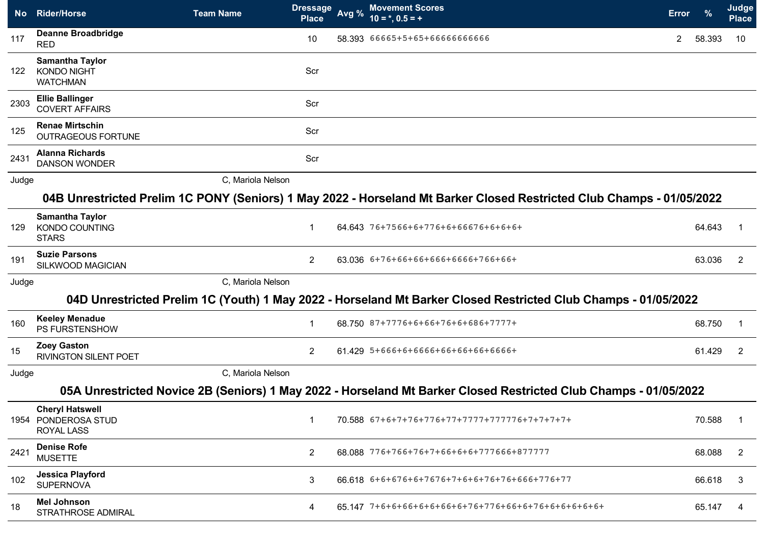|       | No Rider/Horse                                                     | <b>Team Name</b>  | <b>Dressage</b><br><b>Place</b> | Avg % | <b>Movement Scores</b><br>$10 = *, 0.5 = +$                                                                           | <b>Error</b>          |        | Judge<br><b>Place</b> |
|-------|--------------------------------------------------------------------|-------------------|---------------------------------|-------|-----------------------------------------------------------------------------------------------------------------------|-----------------------|--------|-----------------------|
| 117   | <b>Deanne Broadbridge</b><br><b>RED</b>                            |                   | 10                              |       | 58.393 66665+5+65+66666666666                                                                                         | $\mathbf{2}^{\prime}$ | 58.393 | 10                    |
| 122   | <b>Samantha Taylor</b><br><b>KONDO NIGHT</b><br><b>WATCHMAN</b>    |                   | Scr                             |       |                                                                                                                       |                       |        |                       |
| 2303  | <b>Ellie Ballinger</b><br><b>COVERT AFFAIRS</b>                    |                   | Scr                             |       |                                                                                                                       |                       |        |                       |
| 125   | <b>Renae Mirtschin</b><br><b>OUTRAGEOUS FORTUNE</b>                |                   | Scr                             |       |                                                                                                                       |                       |        |                       |
| 2431  | <b>Alanna Richards</b><br><b>DANSON WONDER</b>                     |                   | Scr                             |       |                                                                                                                       |                       |        |                       |
| Judge |                                                                    | C, Mariola Nelson |                                 |       |                                                                                                                       |                       |        |                       |
|       |                                                                    |                   |                                 |       | 04B Unrestricted Prelim 1C PONY (Seniors) 1 May 2022 - Horseland Mt Barker Closed Restricted Club Champs - 01/05/2022 |                       |        |                       |
| 129   | <b>Samantha Taylor</b><br><b>KONDO COUNTING</b><br><b>STARS</b>    |                   | -1                              |       | 64.643 76+7566+6+776+6+66676+6+6+6+                                                                                   |                       | 64.643 |                       |
| 191   | <b>Suzie Parsons</b><br>SILKWOOD MAGICIAN                          |                   | $\overline{2}$                  |       | 63.036 6+76+66+66+666+6666+766+66+                                                                                    |                       | 63.036 | 2                     |
| Judge |                                                                    | C, Mariola Nelson |                                 |       |                                                                                                                       |                       |        |                       |
|       |                                                                    |                   |                                 |       | 04D Unrestricted Prelim 1C (Youth) 1 May 2022 - Horseland Mt Barker Closed Restricted Club Champs - 01/05/2022        |                       |        |                       |
| 160   | <b>Keeley Menadue</b><br>PS FURSTENSHOW                            |                   | -1                              |       | 68.750 87+7776+6+66+76+6+686+7777+                                                                                    |                       | 68.750 | -1                    |
| 15    | <b>Zoey Gaston</b><br><b>RIVINGTON SILENT POET</b>                 |                   | 2                               |       | 61.429 5+666+6+6666+66+66+66+6666+                                                                                    |                       | 61.429 | 2                     |
| Judge |                                                                    | C, Mariola Nelson |                                 |       |                                                                                                                       |                       |        |                       |
|       |                                                                    |                   |                                 |       | 05A Unrestricted Novice 2B (Seniors) 1 May 2022 - Horseland Mt Barker Closed Restricted Club Champs - 01/05/2022      |                       |        |                       |
|       | <b>Cheryl Hatswell</b><br>1954 PONDEROSA STUD<br><b>ROYAL LASS</b> |                   | $\mathbf 1$                     |       | 70.588 67+6+7+76+776+77+7777+777776+7+7+7+7+                                                                          |                       | 70.588 | $\mathbf{1}$          |
| 2421  | <b>Denise Rofe</b><br><b>MUSETTE</b>                               |                   | $\overline{2}$                  |       | 68.088 776+766+76+7+66+6+6+777666+877777                                                                              |                       | 68.088 | 2                     |
| 102   | Jessica Playford<br><b>SUPERNOVA</b>                               |                   | 3                               |       | 66.618 6+6+676+6+7676+7+6+6+76+76+666+776+77                                                                          |                       | 66.618 | 3                     |
| 18    | <b>Mel Johnson</b><br>STRATHROSE ADMIRAL                           |                   | 4                               |       |                                                                                                                       |                       | 65.147 | 4                     |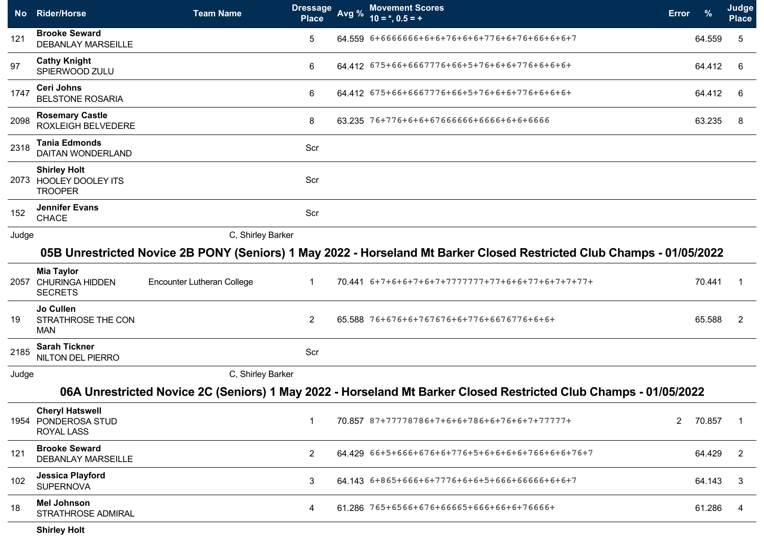| <b>No</b> | <b>Rider/Horse</b>                                                 | <b>Team Name</b>           | <b>Dressage</b><br><b>Place</b> | Avg % | <b>Movement Scores</b><br>$10 = *, 0.5 = +$                                                                           | <b>Error</b> | $\frac{9}{6}$ | Judge<br>Place |
|-----------|--------------------------------------------------------------------|----------------------------|---------------------------------|-------|-----------------------------------------------------------------------------------------------------------------------|--------------|---------------|----------------|
| 121       | <b>Brooke Seward</b><br><b>DEBANLAY MARSEILLE</b>                  |                            | 5                               |       | 64.559 6+6666666+6+6+76+6+6+776+6+76+66+6+6+7                                                                         |              | 64.559        | 5              |
| 97        | <b>Cathy Knight</b><br>SPIERWOOD ZULU                              |                            | 6                               |       | 64.412 675+66+6667776+66+5+76+6+6+776+6+6+6+                                                                          |              | 64.412        | 6              |
| 1747      | Ceri Johns<br><b>BELSTONE ROSARIA</b>                              |                            | 6                               |       | 64.412 675+66+6667776+66+5+76+6+6+776+6+6+6+                                                                          |              | 64.412        | 6              |
| 2098      | <b>Rosemary Castle</b><br><b>ROXLEIGH BELVEDERE</b>                |                            | 8                               |       | 63.235 76+776+6+6+67666666+6666+6+6+6666                                                                              |              | 63.235        | 8              |
| 2318      | <b>Tania Edmonds</b><br>DAITAN WONDERLAND                          |                            | Scr                             |       |                                                                                                                       |              |               |                |
|           | <b>Shirley Holt</b><br>2073 HOOLEY DOOLEY ITS<br><b>TROOPER</b>    |                            | Scr                             |       |                                                                                                                       |              |               |                |
| 152       | <b>Jennifer Evans</b><br>CHACE                                     |                            | Scr                             |       |                                                                                                                       |              |               |                |
| Judge     |                                                                    | C, Shirley Barker          |                                 |       |                                                                                                                       |              |               |                |
|           |                                                                    |                            |                                 |       | 05B Unrestricted Novice 2B PONY (Seniors) 1 May 2022 - Horseland Mt Barker Closed Restricted Club Champs - 01/05/2022 |              |               |                |
|           | <b>Mia Taylor</b><br>2057 CHURINGA HIDDEN<br><b>SECRETS</b>        | Encounter Lutheran College | -1                              |       | 70.441 6+7+6+6+7+6+7+77777777+77+6+6+77+6+7+7+77+                                                                     |              | 70.441        |                |
| 19        | Jo Cullen<br>STRATHROSE THE CON<br><b>MAN</b>                      |                            | $\overline{2}$                  |       | 65.588 76+676+6+767676+6+776+6676776+6+6+                                                                             |              | 65.588        | 2              |
| 2185      | <b>Sarah Tickner</b><br>NILTON DEL PIERRO                          |                            | Scr                             |       |                                                                                                                       |              |               |                |
| Judge     |                                                                    | C, Shirley Barker          |                                 |       |                                                                                                                       |              |               |                |
|           |                                                                    |                            |                                 |       | 06A Unrestricted Novice 2C (Seniors) 1 May 2022 - Horseland Mt Barker Closed Restricted Club Champs - 01/05/2022      |              |               |                |
|           | <b>Cheryl Hatswell</b><br>1954 PONDEROSA STUD<br><b>ROYAL LASS</b> |                            | -1                              |       | 70.857 87+77778786+7+6+6+786+6+76+6+7+77777+                                                                          | $2^{\circ}$  | 70.857        |                |
| 121       | <b>Brooke Seward</b><br><b>DEBANLAY MARSEILLE</b>                  |                            | $\overline{2}$                  |       | 64 429 66+5+666+676+6+776+5+6+6+6+6+766+6+6+76+7                                                                      |              | 64.429        | $\overline{2}$ |
| 102       | <b>Jessica Playford</b><br><b>SUPERNOVA</b>                        |                            | 3                               |       | 64.143 6+865+666+6+7776+6+6+5+666+66666+6+6+7                                                                         |              | 64.143        | 3              |
| 18        | <b>Mel Johnson</b><br>STRATHROSE ADMIRAL                           |                            | 4                               |       | 61.286 765+6566+676+66665+666+66+6+76666+                                                                             |              | 61.286        | 4              |
|           | <b>Shirley Holt</b>                                                |                            |                                 |       |                                                                                                                       |              |               |                |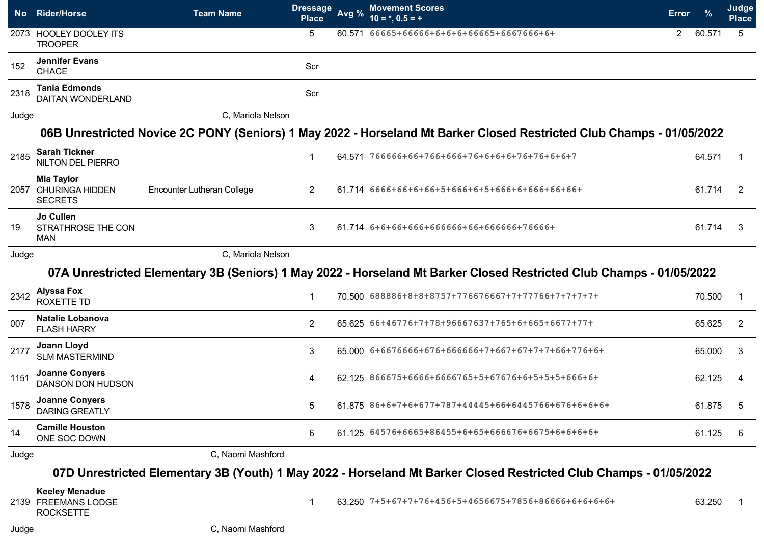| <b>No</b> | <b>Rider/Horse</b>                                               | <b>Team Name</b>           | <b>Dressage</b><br><b>Place</b> | Avg % | <b>Movement Scores</b><br>$10 = *, 0.5 = +$                                                                           | <b>Error</b> |        | Judge<br><b>Place</b> |
|-----------|------------------------------------------------------------------|----------------------------|---------------------------------|-------|-----------------------------------------------------------------------------------------------------------------------|--------------|--------|-----------------------|
|           | 2073 HOOLEY DOOLEY ITS<br><b>TROOPER</b>                         |                            | 5                               |       | 60.571 66665+66666+6+6+6+66665+6667666+6+                                                                             | 2            | 60.571 | 5                     |
| 152       | <b>Jennifer Evans</b><br><b>CHACE</b>                            |                            | Scr                             |       |                                                                                                                       |              |        |                       |
| 2318      | <b>Tania Edmonds</b><br><b>DAITAN WONDERLAND</b>                 |                            | Scr                             |       |                                                                                                                       |              |        |                       |
| Judge     |                                                                  | C, Mariola Nelson          |                                 |       |                                                                                                                       |              |        |                       |
|           |                                                                  |                            |                                 |       | 06B Unrestricted Novice 2C PONY (Seniors) 1 May 2022 - Horseland Mt Barker Closed Restricted Club Champs - 01/05/2022 |              |        |                       |
| 2185      | <b>Sarah Tickner</b><br><b>NILTON DEL PIERRO</b>                 |                            | $\mathbf{1}$                    |       | 64.571 766666+66+766+666+76+6+6+6+76+76+6+6+7                                                                         |              | 64.571 | 1                     |
|           | <b>Mia Taylor</b><br>2057 CHURINGA HIDDEN<br><b>SECRETS</b>      | Encounter Lutheran College | 2                               |       | 61.714 6666+66+6+66+5+666+6+5+666+6+666+66+66+                                                                        |              | 61.714 | 2                     |
| 19        | Jo Cullen<br>STRATHROSE THE CON<br><b>MAN</b>                    |                            | 3                               |       | 61.714 6+6+66+666+666666+66+666666+76666+                                                                             |              | 61.714 | 3                     |
| Judge     |                                                                  | C, Mariola Nelson          |                                 |       |                                                                                                                       |              |        |                       |
|           |                                                                  |                            |                                 |       | 07A Unrestricted Elementary 3B (Seniors) 1 May 2022 - Horseland Mt Barker Closed Restricted Club Champs - 01/05/2022  |              |        |                       |
| 2342      | <b>Alyssa Fox</b><br>ROXETTE TD                                  |                            | $\mathbf{1}$                    |       | 70.500 688886+8+8+8757+776676667+7+77766+7+7+7+7+                                                                     |              | 70.500 | -1                    |
| 007       | <b>Natalie Lobanova</b><br><b>FLASH HARRY</b>                    |                            | $\overline{2}$                  |       | 65.625 66+46776+7+78+96667637+765+6+665+6677+77+                                                                      |              | 65.625 | $\overline{2}$        |
| 2177      | Joann Lloyd<br><b>SLM MASTERMIND</b>                             |                            | 3                               |       | 65.000 6+6676666+676+666666+7+667+67+7+7+66+776+6+                                                                    |              | 65.000 | 3                     |
| 1151      | <b>Joanne Conyers</b><br>DANSON DON HUDSON                       |                            | 4                               |       | 62.125 866675+6666+6666765+5+67676+6+5+5+5+666+6+                                                                     |              | 62.125 | 4                     |
| 1578      | <b>Joanne Conyers</b><br><b>DARING GREATLY</b>                   |                            | 5                               |       | 61.875 86+6+7+6+677+787+44445+66+6445766+676+6+6+6+                                                                   |              | 61.875 | 5                     |
| 14        | <b>Camille Houston</b><br>ONE SOC DOWN                           |                            | 6                               |       | 61.125 64576+6665+86455+6+65+666676+6675+6+6+6+6+                                                                     |              | 61.125 | 6                     |
| Judge     |                                                                  | C, Naomi Mashford          |                                 |       |                                                                                                                       |              |        |                       |
|           |                                                                  |                            |                                 |       | 07D Unrestricted Elementary 3B (Youth) 1 May 2022 - Horseland Mt Barker Closed Restricted Club Champs - 01/05/2022    |              |        |                       |
|           | <b>Keeley Menadue</b><br>2139 FREEMANS LODGE<br><b>ROCKSETTE</b> |                            | $\mathbf{1}$                    |       | 63.250 7+5+67+7+76+456+5+4656675+7856+86666+6+6+6+6+                                                                  |              | 63.250 | -1                    |
| Judge     |                                                                  | C, Naomi Mashford          |                                 |       |                                                                                                                       |              |        |                       |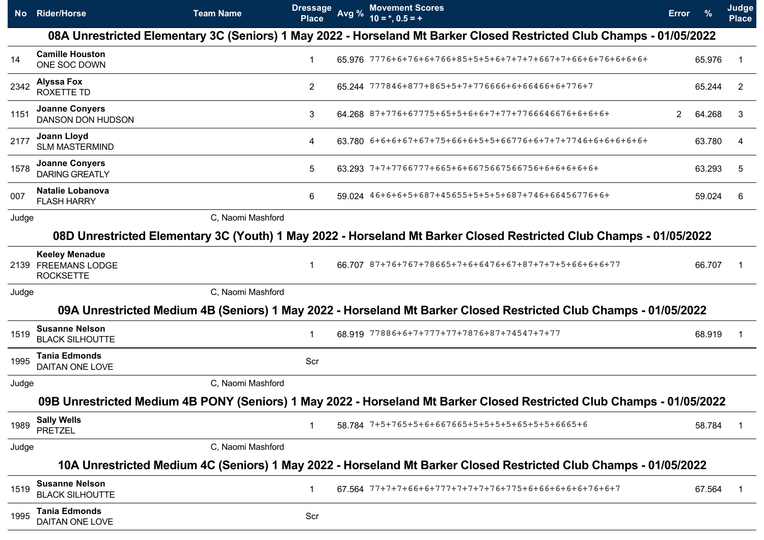| <b>No</b> | <b>Rider/Horse</b>                                               | <b>Team Name</b>  | <u>Dressage</u><br><b>Place</b> | Avg % | <b>Movement Scores</b><br>$10 = *, 0.5 = +$                                                                           | <b>Error</b> |        | Judge<br><b>Place</b> |
|-----------|------------------------------------------------------------------|-------------------|---------------------------------|-------|-----------------------------------------------------------------------------------------------------------------------|--------------|--------|-----------------------|
|           |                                                                  |                   |                                 |       | 08A Unrestricted Elementary 3C (Seniors) 1 May 2022 - Horseland Mt Barker Closed Restricted Club Champs - 01/05/2022  |              |        |                       |
| 14        | <b>Camille Houston</b><br>ONE SOC DOWN                           |                   | 1                               |       | 65.976 7776+6+76+6+766+85+5+5+6+7+7+7+667+7+66+6+76+6+6+6+6+                                                          |              | 65.976 | -1                    |
| 2342      | <b>Alyssa Fox</b><br><b>ROXETTE TD</b>                           |                   | $\overline{2}$                  |       | 65.244 777846+877+865+5+7+776666+6+66466+6+776+7                                                                      |              | 65.244 | 2                     |
| 1151      | <b>Joanne Conyers</b><br>DANSON DON HUDSON                       |                   | 3                               |       | 64.268 87+776+67775+65+5+6+6+7+77+7766646676+6+6+6+                                                                   | 2.           | 64.268 | 3                     |
| 2177      | Joann Lloyd<br><b>SLM MASTERMIND</b>                             |                   | 4                               |       | 63.780 6+6+6+67+67+75+66+6+5+5+66776+6+7+7+7746+6+6+6+6+6+6+                                                          |              | 63.780 | 4                     |
| 1578      | <b>Joanne Conyers</b><br><b>DARING GREATLY</b>                   |                   | 5                               |       |                                                                                                                       |              | 63.293 | 5                     |
| 007       | Natalie Lobanova<br><b>FLASH HARRY</b>                           |                   | 6                               |       | 59.024 46+6+6+5+687+45655+5+5+5+687+746+66456776+6+                                                                   |              | 59.024 | 6                     |
| Judge     |                                                                  | C, Naomi Mashford |                                 |       |                                                                                                                       |              |        |                       |
|           |                                                                  |                   |                                 |       | 08D Unrestricted Elementary 3C (Youth) 1 May 2022 - Horseland Mt Barker Closed Restricted Club Champs - 01/05/2022    |              |        |                       |
|           | <b>Keeley Menadue</b><br>2139 FREEMANS LODGE<br><b>ROCKSETTE</b> |                   | -1                              |       | 66.707 87+76+767+78665+7+6+6476+67+87+7+7+5+66+6+6+77                                                                 |              | 66.707 | -1                    |
| Judge     |                                                                  | C, Naomi Mashford |                                 |       |                                                                                                                       |              |        |                       |
|           |                                                                  |                   |                                 |       | 09A Unrestricted Medium 4B (Seniors) 1 May 2022 - Horseland Mt Barker Closed Restricted Club Champs - 01/05/2022      |              |        |                       |
| 1519      | <b>Susanne Nelson</b><br><b>BLACK SILHOUTTE</b>                  |                   | 1                               |       | 68.919 77886+6+7+777+77+7876+87+74547+7+77                                                                            |              | 68.919 | -1                    |
| 1995      | <b>Tania Edmonds</b><br><b>DAITAN ONE LOVE</b>                   |                   | Scr                             |       |                                                                                                                       |              |        |                       |
| Judge     |                                                                  | C, Naomi Mashford |                                 |       |                                                                                                                       |              |        |                       |
|           |                                                                  |                   |                                 |       | 09B Unrestricted Medium 4B PONY (Seniors) 1 May 2022 - Horseland Mt Barker Closed Restricted Club Champs - 01/05/2022 |              |        |                       |
| 1989      | <b>Sally Wells</b><br><b>PRETZEL</b>                             |                   | -1                              |       | 58.784 7+5+765+5+6+667665+5+5+5+5+65+5+5+6665+6                                                                       |              | 58.784 |                       |
| Judge     |                                                                  | C. Naomi Mashford |                                 |       |                                                                                                                       |              |        |                       |
|           |                                                                  |                   |                                 |       | 10A Unrestricted Medium 4C (Seniors) 1 May 2022 - Horseland Mt Barker Closed Restricted Club Champs - 01/05/2022      |              |        |                       |
| 1519      | <b>Susanne Nelson</b><br><b>BLACK SILHOUTTE</b>                  |                   | 1                               |       |                                                                                                                       |              | 67.564 | -1                    |
| 1995      | <b>Tania Edmonds</b><br>DAITAN ONE LOVE                          |                   | Scr                             |       |                                                                                                                       |              |        |                       |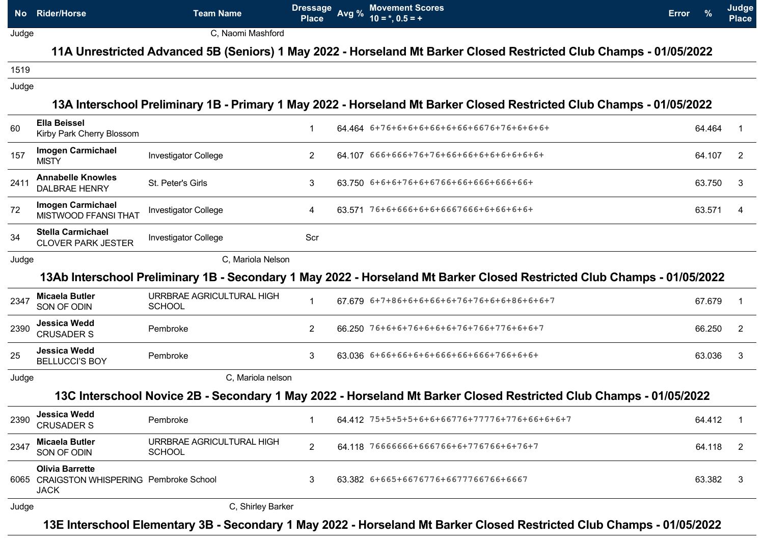|       | No Rider/Horse                                                                     | <b>Team Name</b>                           | <b>Dressage</b><br><b>Place</b> | Avg % | <b>Movement Scores</b><br>$10 = *, 0.5 = +$                                                                             | <b>Error</b> |        | Judge<br><b>Place</b> |
|-------|------------------------------------------------------------------------------------|--------------------------------------------|---------------------------------|-------|-------------------------------------------------------------------------------------------------------------------------|--------------|--------|-----------------------|
| Judge |                                                                                    | C, Naomi Mashford                          |                                 |       |                                                                                                                         |              |        |                       |
|       |                                                                                    |                                            |                                 |       | 11A Unrestricted Advanced 5B (Seniors) 1 May 2022 - Horseland Mt Barker Closed Restricted Club Champs - 01/05/2022      |              |        |                       |
| 1519  |                                                                                    |                                            |                                 |       |                                                                                                                         |              |        |                       |
| Judge |                                                                                    |                                            |                                 |       |                                                                                                                         |              |        |                       |
|       |                                                                                    |                                            |                                 |       | 13A Interschool Preliminary 1B - Primary 1 May 2022 - Horseland Mt Barker Closed Restricted Club Champs - 01/05/2022    |              |        |                       |
| 60    | <b>Ella Beissel</b><br>Kirby Park Cherry Blossom                                   |                                            | 1                               |       |                                                                                                                         |              | 64.464 |                       |
| 157   | <b>Imogen Carmichael</b><br><b>MISTY</b>                                           | <b>Investigator College</b>                | $\overline{2}$                  |       | 64.107 666+666+76+76+66+66+6+6+6+6+6+6+                                                                                 |              | 64.107 | 2                     |
| 2411  | <b>Annabelle Knowles</b><br><b>DALBRAE HENRY</b>                                   | St. Peter's Girls                          | 3                               |       | 63.750 6+6+6+76+6+6766+66+666+666+66+                                                                                   |              | 63.750 | 3                     |
| 72    | <b>Imogen Carmichael</b><br>MISTWOOD FFANSI THAT                                   | <b>Investigator College</b>                | 4                               |       | 63.571 76+6+666+6+6+6667666+6+66+6+6+                                                                                   |              | 63.571 | 4                     |
| 34    | <b>Stella Carmichael</b><br><b>CLOVER PARK JESTER</b>                              | <b>Investigator College</b>                | Scr                             |       |                                                                                                                         |              |        |                       |
| Judge |                                                                                    | C, Mariola Nelson                          |                                 |       |                                                                                                                         |              |        |                       |
|       |                                                                                    |                                            |                                 |       | 13Ab Interschool Preliminary 1B - Secondary 1 May 2022 - Horseland Mt Barker Closed Restricted Club Champs - 01/05/2022 |              |        |                       |
| 2347  | <b>Micaela Butler</b><br>SON OF ODIN                                               | URRBRAE AGRICULTURAL HIGH<br><b>SCHOOL</b> | $\mathbf 1$                     |       | 67679 6+7+86+6+6+66+6+76+76+6+6+86+6+6+7                                                                                |              | 67.679 |                       |
| 2390  | Jessica Wedd<br><b>CRUSADER S</b>                                                  | Pembroke                                   | $\overline{2}$                  |       | 66.250 76+6+6+76+6+6+6+76+766+776+6+6+7                                                                                 |              | 66.250 | 2                     |
| 25    | <b>Jessica Wedd</b><br><b>BELLUCCI'S BOY</b>                                       | Pembroke                                   | 3                               |       | 63.036 6+66+66+6+6+666+66+666+766+6+6+                                                                                  |              | 63.036 | 3                     |
| Judge |                                                                                    | C, Mariola nelson                          |                                 |       |                                                                                                                         |              |        |                       |
|       |                                                                                    |                                            |                                 |       | 13C Interschool Novice 2B - Secondary 1 May 2022 - Horseland Mt Barker Closed Restricted Club Champs - 01/05/2022       |              |        |                       |
| 2390  | Jessica Wedd<br><b>CRUSADER S</b>                                                  | Pembroke                                   | -1                              |       | 64.412 75+5+5+5+6+6+66776+77776+776+66+6+6+7                                                                            |              | 64.412 |                       |
| 2347  | <b>Micaela Butler</b><br>SON OF ODIN                                               | URRBRAE AGRICULTURAL HIGH<br><b>SCHOOL</b> | $\overline{2}$                  |       | 64.118 76666666+666766+6+776766+6+76+7                                                                                  |              | 64.118 | 2                     |
|       | <b>Olivia Barrette</b><br>6065 CRAIGSTON WHISPERING Pembroke School<br><b>JACK</b> |                                            | 3                               |       | 63.382 6+665+6676776+6677766766+6667                                                                                    |              | 63.382 | 3                     |
| Judge |                                                                                    | C, Shirley Barker                          |                                 |       |                                                                                                                         |              |        |                       |
|       |                                                                                    |                                            |                                 |       | 13E Interschool Elementary 3B - Secondary 1 May 2022 - Horseland Mt Barker Closed Restricted Club Champs - 01/05/2022   |              |        |                       |